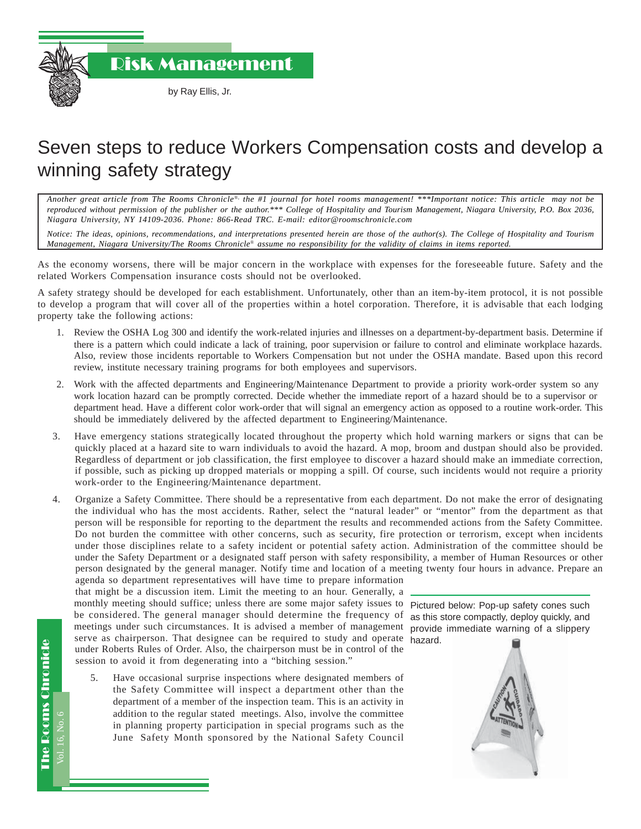Risk Management

## Seven steps to reduce Workers Compensation costs and develop a winning safety strategy

*Another great article from The Rooms Chronicle*®*, the #1 journal for hotel rooms management! \*\*\*Important notice: This article may not be reproduced without permission of the publisher or the author.\*\*\* College of Hospitality and Tourism Management, Niagara University, P.O. Box 2036, Niagara University, NY 14109-2036. Phone: 866-Read TRC. E-mail: editor@roomschronicle.com*

*Notice: The ideas, opinions, recommendations, and interpretations presented herein are those of the author(s). The College of Hospitality and Tourism Management, Niagara University/The Rooms Chronicle*® *assume no responsibility for the validity of claims in items reported.*

As the economy worsens, there will be major concern in the workplace with expenses for the foreseeable future. Safety and the related Workers Compensation insurance costs should not be overlooked.

A safety strategy should be developed for each establishment. Unfortunately, other than an item-by-item protocol, it is not possible to develop a program that will cover all of the properties within a hotel corporation. Therefore, it is advisable that each lodging property take the following actions:

- 1. Review the OSHA Log 300 and identify the work-related injuries and illnesses on a department-by-department basis. Determine if there is a pattern which could indicate a lack of training, poor supervision or failure to control and eliminate workplace hazards. Also, review those incidents reportable to Workers Compensation but not under the OSHA mandate. Based upon this record review, institute necessary training programs for both employees and supervisors.
- 2. Work with the affected departments and Engineering/Maintenance Department to provide a priority work-order system so any work location hazard can be promptly corrected. Decide whether the immediate report of a hazard should be to a supervisor or department head. Have a different color work-order that will signal an emergency action as opposed to a routine work-order. This should be immediately delivered by the affected department to Engineering/Maintenance.
- 3. Have emergency stations strategically located throughout the property which hold warning markers or signs that can be quickly placed at a hazard site to warn individuals to avoid the hazard. A mop, broom and dustpan should also be provided. Regardless of department or job classification, the first employee to discover a hazard should make an immediate correction, if possible, such as picking up dropped materials or mopping a spill. Of course, such incidents would not require a priority work-order to the Engineering/Maintenance department.
- 4. Organize a Safety Committee. There should be a representative from each department. Do not make the error of designating the individual who has the most accidents. Rather, select the "natural leader" or "mentor" from the department as that person will be responsible for reporting to the department the results and recommended actions from the Safety Committee. Do not burden the committee with other concerns, such as security, fire protection or terrorism, except when incidents under those disciplines relate to a safety incident or potential safety action. Administration of the committee should be under the Safety Department or a designated staff person with safety responsibility, a member of Human Resources or other person designated by the general manager. Notify time and location of a meeting twenty four hours in advance. Prepare an

agenda so department representatives will have time to prepare information that might be a discussion item. Limit the meeting to an hour. Generally, a monthly meeting should suffice; unless there are some major safety issues to be considered. The general manager should determine the frequency of meetings under such circumstances. It is advised a member of management provide immediate warning of a slippery serve as chairperson. That designee can be required to study and operate hazard.under Roberts Rules of Order. Also, the chairperson must be in control of the session to avoid it from degenerating into a "bitching session."

 5. Have occasional surprise inspections where designated members of the Safety Committee will inspect a department other than the department of a member of the inspection team. This is an activity in addition to the regular stated meetings. Also, involve the committee in planning property participation in special programs such as the June Safety Month sponsored by the National Safety Council

Pictured below: Pop-up safety cones such as this store compactly, deploy quickly, and